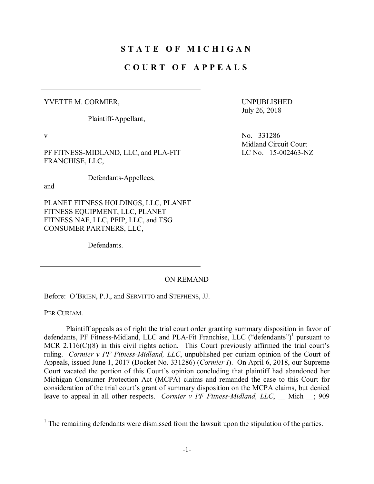## **S T A T E O F M I C H I G A N**

## **C O U R T O F A P P E A L S**

## YVETTE M. CORMIER,

Plaintiff-Appellant,

PF FITNESS-MIDLAND, LLC, and PLA-FIT FRANCHISE, LLC,

Defendants-Appellees,

and

PLANET FITNESS HOLDINGS, LLC, PLANET FITNESS EQUIPMENT, LLC, PLANET FITNESS NAF, LLC, PFIP, LLC, and TSG CONSUMER PARTNERS, LLC,

Defendants.

UNPUBLISHED July 26, 2018

v No. 331286 Midland Circuit Court LC No. 15-002463-NZ

## ON REMAND

Before: O'BRIEN, P.J., and SERVITTO and STEPHENS, JJ.

PER CURIAM.

Plaintiff appeals as of right the trial court order granting summary disposition in favor of defendants, PF Fitness-Midland, LLC and PLA-Fit Franchise, LLC ("defendants")<sup>1</sup> pursuant to MCR 2.116(C)(8) in this civil rights action. This Court previously affirmed the trial court's ruling. *Cormier v PF Fitness-Midland, LLC*, unpublished per curiam opinion of the Court of Appeals, issued June 1, 2017 (Docket No. 331286) (*Cormier I*). On April 6, 2018, our Supreme Court vacated the portion of this Court's opinion concluding that plaintiff had abandoned her Michigan Consumer Protection Act (MCPA) claims and remanded the case to this Court for consideration of the trial court's grant of summary disposition on the MCPA claims, but denied leave to appeal in all other respects. *Cormier v PF Fitness-Midland, LLC*, Mich ; 909

 $1$  The remaining defendants were dismissed from the lawsuit upon the stipulation of the parties.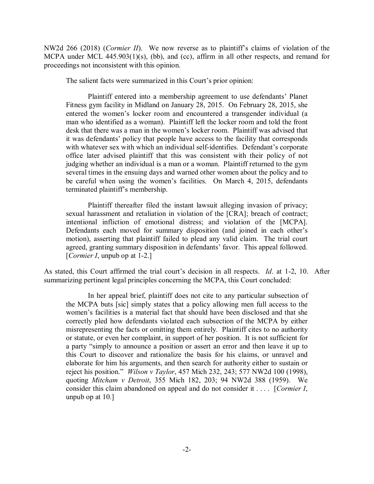NW2d 266 (2018) (*Cormier II*). We now reverse as to plaintiff's claims of violation of the MCPA under MCL 445.903(1)(s), (bb), and (cc), affirm in all other respects, and remand for proceedings not inconsistent with this opinion.

The salient facts were summarized in this Court's prior opinion:

Plaintiff entered into a membership agreement to use defendants' Planet Fitness gym facility in Midland on January 28, 2015. On February 28, 2015, she entered the women's locker room and encountered a transgender individual (a man who identified as a woman). Plaintiff left the locker room and told the front desk that there was a man in the women's locker room. Plaintiff was advised that it was defendants' policy that people have access to the facility that corresponds with whatever sex with which an individual self-identifies. Defendant's corporate office later advised plaintiff that this was consistent with their policy of not judging whether an individual is a man or a woman. Plaintiff returned to the gym several times in the ensuing days and warned other women about the policy and to be careful when using the women's facilities. On March 4, 2015, defendants terminated plaintiff's membership.

Plaintiff thereafter filed the instant lawsuit alleging invasion of privacy; sexual harassment and retaliation in violation of the [CRA]; breach of contract; intentional infliction of emotional distress; and violation of the [MCPA]. Defendants each moved for summary disposition (and joined in each other's motion), asserting that plaintiff failed to plead any valid claim. The trial court agreed, granting summary disposition in defendants' favor. This appeal followed. [*Cormier I*, unpub op at 1-2.]

As stated, this Court affirmed the trial court's decision in all respects. *Id*. at 1-2, 10. After summarizing pertinent legal principles concerning the MCPA, this Court concluded:

In her appeal brief, plaintiff does not cite to any particular subsection of the MCPA buts [sic] simply states that a policy allowing men full access to the women's facilities is a material fact that should have been disclosed and that she correctly pled how defendants violated each subsection of the MCPA by either misrepresenting the facts or omitting them entirely. Plaintiff cites to no authority or statute, or even her complaint, in support of her position. It is not sufficient for a party "simply to announce a position or assert an error and then leave it up to this Court to discover and rationalize the basis for his claims, or unravel and elaborate for him his arguments, and then search for authority either to sustain or reject his position." *Wilson v Taylor*, 457 Mich 232, 243; 577 NW2d 100 (1998), quoting *Mitcham v Detroit*, 355 Mich 182, 203; 94 NW2d 388 (1959). We consider this claim abandoned on appeal and do not consider it . . . . [*Cormier I*, unpub op at 10.]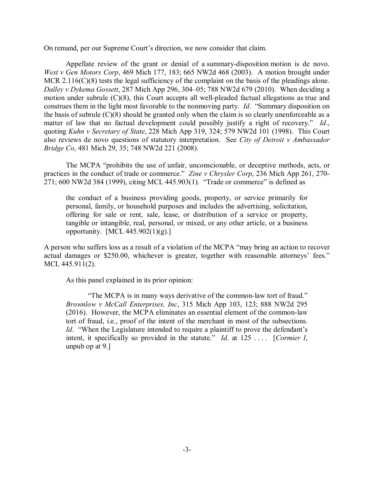On remand, per our Supreme Court's direction, we now consider that claim.

Appellate review of the grant or denial of a summary-disposition motion is de novo. *West v Gen Motors Corp*, 469 Mich 177, 183; 665 NW2d 468 (2003). A motion brought under MCR 2.116(C)(8) tests the legal sufficiency of the complaint on the basis of the pleadings alone. *Dalley v Dykema Gossett*, 287 Mich App 296, 304–05; 788 NW2d 679 (2010). When deciding a motion under subrule (C)(8), this Court accepts all well-pleaded factual allegations as true and construes them in the light most favorable to the nonmoving party. *Id*. "Summary disposition on the basis of subrule (C)(8) should be granted only when the claim is so clearly unenforceable as a matter of law that no factual development could possibly justify a right of recovery." *Id*., quoting *Kuhn v Secretary of State*, 228 Mich App 319, 324; 579 NW2d 101 (1998). This Court also reviews de novo questions of statutory interpretation. See *City of Detroit v Ambassador Bridge Co*, 481 Mich 29, 35; 748 NW2d 221 (2008).

The MCPA "prohibits the use of unfair, unconscionable, or deceptive methods, acts, or practices in the conduct of trade or commerce." *Zine v Chrysler Corp*, 236 Mich App 261, 270- 271; 600 NW2d 384 (1999), citing MCL 445.903(1). "Trade or commerce" is defined as

the conduct of a business providing goods, property, or service primarily for personal, family, or household purposes and includes the advertising, solicitation, offering for sale or rent, sale, lease, or distribution of a service or property, tangible or intangible, real, personal, or mixed, or any other article, or a business opportunity. [MCL 445.902(1)(g).]

A person who suffers loss as a result of a violation of the MCPA "may bring an action to recover actual damages or \$250.00, whichever is greater, together with reasonable attorneys' fees." MCL 445.911(2).

As this panel explained in its prior opinion:

"The MCPA is in many ways derivative of the common-law tort of fraud." *Brownlow v McCall Enterprises, Inc*, 315 Mich App 103, 123; 888 NW2d 295 (2016). However, the MCPA eliminates an essential element of the common-law tort of fraud, i.e., proof of the intent of the merchant in most of the subsections. *Id*. "When the Legislature intended to require a plaintiff to prove the defendant's intent, it specifically so provided in the statute." *Id*. at 125 . . . . [*Cormier I*, unpub op at 9.]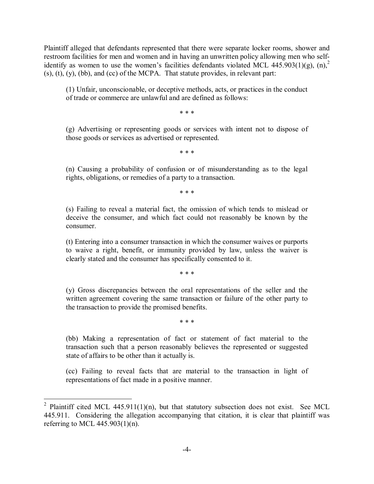Plaintiff alleged that defendants represented that there were separate locker rooms, shower and restroom facilities for men and women and in having an unwritten policy allowing men who selfidentify as women to use the women's facilities defendants violated MCL 445.903(1)(g), (n),<sup>2</sup>  $(s)$ ,  $(t)$ ,  $(y)$ ,  $(bb)$ , and  $(cc)$  of the MCPA. That statute provides, in relevant part:

(1) Unfair, unconscionable, or deceptive methods, acts, or practices in the conduct of trade or commerce are unlawful and are defined as follows:

\* \* \*

(g) Advertising or representing goods or services with intent not to dispose of those goods or services as advertised or represented.

\* \* \*

(n) Causing a probability of confusion or of misunderstanding as to the legal rights, obligations, or remedies of a party to a transaction.

\* \* \*

(s) Failing to reveal a material fact, the omission of which tends to mislead or deceive the consumer, and which fact could not reasonably be known by the consumer.

(t) Entering into a consumer transaction in which the consumer waives or purports to waive a right, benefit, or immunity provided by law, unless the waiver is clearly stated and the consumer has specifically consented to it.

\* \* \*

(y) Gross discrepancies between the oral representations of the seller and the written agreement covering the same transaction or failure of the other party to the transaction to provide the promised benefits.

\* \* \*

(bb) Making a representation of fact or statement of fact material to the transaction such that a person reasonably believes the represented or suggested state of affairs to be other than it actually is.

(cc) Failing to reveal facts that are material to the transaction in light of representations of fact made in a positive manner.

<sup>&</sup>lt;sup>2</sup> Plaintiff cited MCL 445.911(1)(n), but that statutory subsection does not exist. See MCL 445.911. Considering the allegation accompanying that citation, it is clear that plaintiff was referring to MCL  $445.903(1)(n)$ .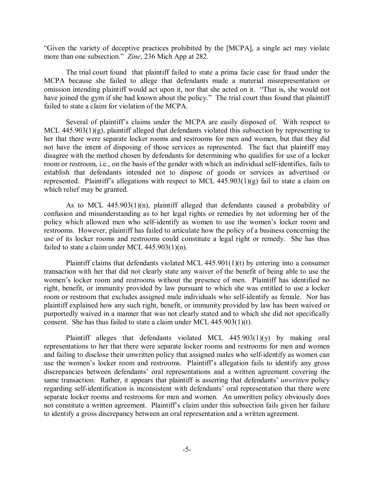"Given the variety of deceptive practices prohibited by the [MCPA], a single act may violate more than one subsection." *Zine*, 236 Mich App at 282.

The trial court found that plaintiff failed to state a prima facie case for fraud under the MCPA because she failed to allege that defendants made a material misrepresentation or omission intending plaintiff would act upon it, nor that she acted on it. "That is, she would not have joined the gym if she had known about the policy." The trial court thus found that plaintiff failed to state a claim for violation of the MCPA.

Several of plaintiff's claims under the MCPA are easily disposed of. With respect to MCL 445.903(1)(g), plaintiff alleged that defendants violated this subsection by representing to her that there were separate locker rooms and restrooms for men and women, but that they did not have the intent of disposing of those services as represented. The fact that plaintiff may disagree with the method chosen by defendants for determining who qualifies for use of a locker room or restroom, i.e., on the basis of the gender with which an individual self-identifies, fails to establish that defendants intended not to dispose of goods or services as advertised or represented. Plaintiff's allegations with respect to MCL  $445.903(1)(g)$  fail to state a claim on which relief may be granted.

As to MCL 445.903(1)(n), plaintiff alleged that defendants caused a probability of confusion and misunderstanding as to her legal rights or remedies by not informing her of the policy which allowed men who self-identify as women to use the women's locker room and restrooms. However, plaintiff has failed to articulate how the policy of a business concerning the use of its locker rooms and restrooms could constitute a legal right or remedy. She has thus failed to state a claim under MCL 445.903(1)(n).

Plaintiff claims that defendants violated MCL 445.901(1)(t) by entering into a consumer transaction with her that did not clearly state any waiver of the benefit of being able to use the women's locker room and restrooms without the presence of men. Plaintiff has identified no right, benefit, or immunity provided by law pursuant to which she was entitled to use a locker room or restroom that excludes assigned male individuals who self-identify as female. Nor has plaintiff explained how any such right, benefit, or immunity provided by law has been waived or purportedly waived in a manner that was not clearly stated and to which she did not specifically consent. She has thus failed to state a claim under MCL 445.903(1)(t).

Plaintiff alleges that defendants violated MCL 445.903(1)(y) by making oral representations to her that there were separate locker rooms and restrooms for men and women and failing to disclose their unwritten policy that assigned males who self-identify as women can use the women's locker room and restrooms. Plaintiff's allegation fails to identify any gross discrepancies between defendants' oral representations and a written agreement covering the same transaction. Rather, it appears that plaintiff is asserting that defendants' *unwritten* policy regarding self-identification is inconsistent with defendants' oral representation that there were separate locker rooms and restrooms for men and women. An unwritten policy obviously does not constitute a written agreement. Plaintiff's claim under this subsection fails given her failure to identify a gross discrepancy between an oral representation and a written agreement.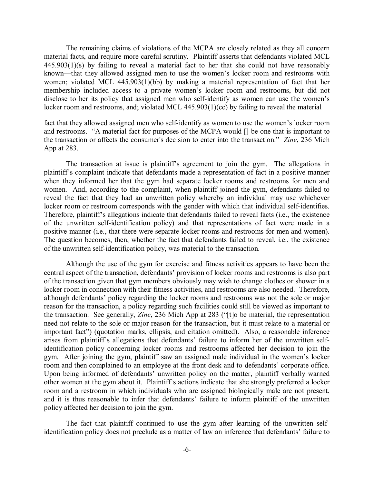The remaining claims of violations of the MCPA are closely related as they all concern material facts, and require more careful scrutiny. Plaintiff asserts that defendants violated MCL 445.903(1)(s) by failing to reveal a material fact to her that she could not have reasonably known—that they allowed assigned men to use the women's locker room and restrooms with women; violated MCL 445.903(1)(bb) by making a material representation of fact that her membership included access to a private women's locker room and restrooms, but did not disclose to her its policy that assigned men who self-identify as women can use the women's locker room and restrooms, and; violated MCL 445.903(1)(cc) by failing to reveal the material

fact that they allowed assigned men who self-identify as women to use the women's locker room and restrooms. "A material fact for purposes of the MCPA would [] be one that is important to the transaction or affects the consumer's decision to enter into the transaction." *Zine*, 236 Mich App at 283.

The transaction at issue is plaintiff's agreement to join the gym. The allegations in plaintiff's complaint indicate that defendants made a representation of fact in a positive manner when they informed her that the gym had separate locker rooms and restrooms for men and women. And, according to the complaint, when plaintiff joined the gym, defendants failed to reveal the fact that they had an unwritten policy whereby an individual may use whichever locker room or restroom corresponds with the gender with which that individual self-identifies. Therefore, plaintiff's allegations indicate that defendants failed to reveal facts (i.e., the existence of the unwritten self-identification policy) and that representations of fact were made in a positive manner (i.e., that there were separate locker rooms and restrooms for men and women). The question becomes, then, whether the fact that defendants failed to reveal, i.e., the existence of the unwritten self-identification policy, was material to the transaction.

Although the use of the gym for exercise and fitness activities appears to have been the central aspect of the transaction, defendants' provision of locker rooms and restrooms is also part of the transaction given that gym members obviously may wish to change clothes or shower in a locker room in connection with their fitness activities, and restrooms are also needed. Therefore, although defendants' policy regarding the locker rooms and restrooms was not the sole or major reason for the transaction, a policy regarding such facilities could still be viewed as important to the transaction. See generally, *Zine*, 236 Mich App at 283 ("[t]o be material, the representation need not relate to the sole or major reason for the transaction, but it must relate to a material or important fact") (quotation marks, ellipsis, and citation omitted). Also, a reasonable inference arises from plaintiff's allegations that defendants' failure to inform her of the unwritten selfidentification policy concerning locker rooms and restrooms affected her decision to join the gym. After joining the gym, plaintiff saw an assigned male individual in the women's locker room and then complained to an employee at the front desk and to defendants' corporate office. Upon being informed of defendants' unwritten policy on the matter, plaintiff verbally warned other women at the gym about it. Plaintiff's actions indicate that she strongly preferred a locker room and a restroom in which individuals who are assigned biologically male are not present, and it is thus reasonable to infer that defendants' failure to inform plaintiff of the unwritten policy affected her decision to join the gym.

The fact that plaintiff continued to use the gym after learning of the unwritten selfidentification policy does not preclude as a matter of law an inference that defendants' failure to